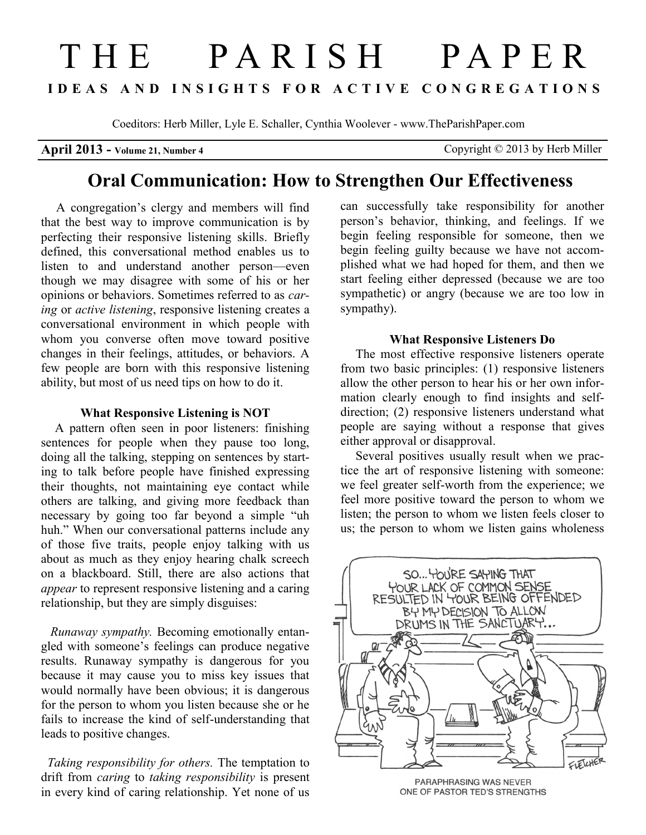# THE PARISH PAPER **I D E A S A N D I N S I G H T S F O R A C T I V E C O N G R E G A T I O N S**

Coeditors: Herb Miller, Lyle E. Schaller, Cynthia Woolever - www.TheParishPaper.com

**April 2013 - Volume 21, Number 4** Copyright © 2013 by Herb Miller

## **Oral Communication: How to Strengthen Our Effectiveness**

A congregation's clergy and members will find that the best way to improve communication is by perfecting their responsive listening skills. Briefly defined, this conversational method enables us to listen to and understand another person—even though we may disagree with some of his or her opinions or behaviors. Sometimes referred to as *caring* or *active listening*, responsive listening creates a conversational environment in which people with whom you converse often move toward positive changes in their feelings, attitudes, or behaviors. A few people are born with this responsive listening ability, but most of us need tips on how to do it.

#### **What Responsive Listening is NOT**

A pattern often seen in poor listeners: finishing sentences for people when they pause too long, doing all the talking, stepping on sentences by starting to talk before people have finished expressing their thoughts, not maintaining eye contact while others are talking, and giving more feedback than necessary by going too far beyond a simple "uh huh." When our conversational patterns include any of those five traits, people enjoy talking with us about as much as they enjoy hearing chalk screech on a blackboard. Still, there are also actions that *appear* to represent responsive listening and a caring relationship, but they are simply disguises:

*Runaway sympathy.* Becoming emotionally entangled with someone's feelings can produce negative results. Runaway sympathy is dangerous for you because it may cause you to miss key issues that would normally have been obvious; it is dangerous for the person to whom you listen because she or he fails to increase the kind of self-understanding that leads to positive changes.

 *Taking responsibility for others.* The temptation to drift from *caring* to *taking responsibility* is present in every kind of caring relationship. Yet none of us

can successfully take responsibility for another person's behavior, thinking, and feelings. If we begin feeling responsible for someone, then we begin feeling guilty because we have not accomplished what we had hoped for them, and then we start feeling either depressed (because we are too sympathetic) or angry (because we are too low in sympathy).

#### **What Responsive Listeners Do**

The most effective responsive listeners operate from two basic principles: (1) responsive listeners allow the other person to hear his or her own information clearly enough to find insights and selfdirection; (2) responsive listeners understand what people are saying without a response that gives either approval or disapproval.

Several positives usually result when we practice the art of responsive listening with someone: we feel greater self-worth from the experience; we feel more positive toward the person to whom we listen; the person to whom we listen feels closer to us; the person to whom we listen gains wholeness



PARAPHRASING WAS NEVER ONE OF PASTOR TED'S STRENGTHS